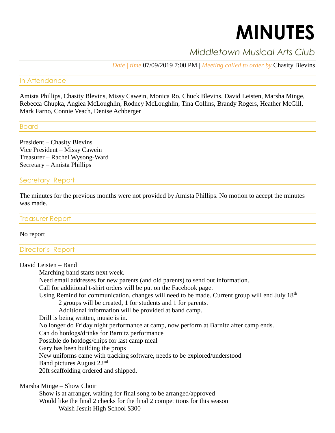# **MINUTES**

## *Middletown Musical Arts Club*

*Date | time* 07/09/2019 7:00 PM | *Meeting called to order by* Chasity Blevins

#### In Attendance

Amista Phillips, Chasity Blevins, Missy Cawein, Monica Ro, Chuck Blevins, David Leisten, Marsha Minge, Rebecca Chupka, Anglea McLoughlin, Rodney McLoughlin, Tina Collins, Brandy Rogers, Heather McGill, Mark Farno, Connie Veach, Denise Achberger

#### Board

President – Chasity Blevins Vice President – Missy Cawein Treasurer – Rachel Wysong-Ward Secretary – Amista Phillips

#### Secretary Report

The minutes for the previous months were not provided by Amista Phillips. No motion to accept the minutes was made.

#### Treasurer Report

#### No report

#### Director's Report

#### David Leisten – Band

Marching band starts next week.

Need email addresses for new parents (and old parents) to send out information.

Call for additional t-shirt orders will be put on the Facebook page.

Using Remind for communication, changes will need to be made. Current group will end July 18<sup>th</sup>.

2 groups will be created, 1 for students and 1 for parents.

Additional information will be provided at band camp.

Drill is being written, music is in.

No longer do Friday night performance at camp, now perform at Barnitz after camp ends.

Can do hotdogs/drinks for Barnitz performance

Possible do hotdogs/chips for last camp meal

Gary has been building the props

New uniforms came with tracking software, needs to be explored/understood

Band pictures August 22nd

20ft scaffolding ordered and shipped.

Marsha Minge – Show Choir

Show is at arranger, waiting for final song to be arranged/approved Would like the final 2 checks for the final 2 competitions for this season Walsh Jesuit High School \$300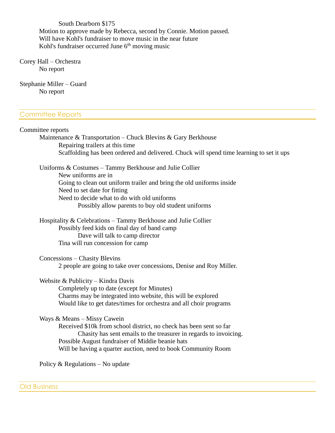South Dearborn \$175 Motion to approve made by Rebecca, second by Connie. Motion passed. Will have Kohl's fundraiser to move music in the near future Kohl's fundraiser occurred June  $6<sup>th</sup>$  moving music

Corey Hall – Orchestra No report

Stephanie Miller – Guard No report

#### Committee Reports

### Committee reports Maintenance  $&$  Transportation – Chuck Blevins  $&$  Gary Berkhouse Repairing trailers at this time Scaffolding has been ordered and delivered. Chuck will spend time learning to set it ups Uniforms & Costumes – Tammy Berkhouse and Julie Collier New uniforms are in Going to clean out uniform trailer and bring the old uniforms inside Need to set date for fitting Need to decide what to do with old uniforms Possibly allow parents to buy old student uniforms Hospitality & Celebrations – Tammy Berkhouse and Julie Collier Possibly feed kids on final day of band camp Dave will talk to camp director Tina will run concession for camp Concessions – Chasity Blevins 2 people are going to take over concessions, Denise and Roy Miller. Website & Publicity – Kindra Davis Completely up to date (except for Minutes) Charms may be integrated into website, this will be explored Would like to get dates/times for orchestra and all choir programs Ways & Means – Missy Cawein Received \$10k from school district, no check has been sent so far Chasity has sent emails to the treasurer in regards to invoicing. Possible August fundraiser of Middie beanie hats Will be having a quarter auction, need to book Community Room

Policy & Regulations – No update

Old Business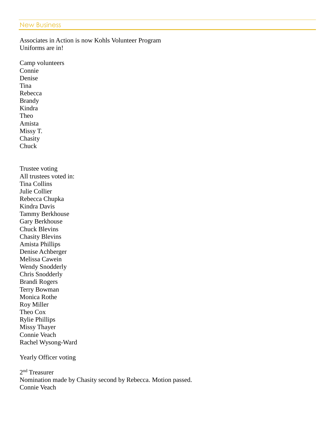#### New Business

Associates in Action is now Kohls Volunteer Program Uniforms are in!

Camp volunteers Connie Denise Tina Rebecca Brandy Kindra Theo Amista Missy T. Chasity Chuck Trustee voting All trustees voted in: Tina Collins Julie Collier Rebecca Chupka Kindra Davis Tammy Berkhouse Gary Berkhouse Chuck Blevins Chasity Blevins Amista Phillips Denise Achberger Melissa Cawein Wendy Snodderly Chris Snodderly Brandi Rogers Terry Bowman Monica Rothe Roy Miller Theo Cox Rylie Phillips Missy Thayer Connie Veach

Yearly Officer voting

Rachel Wysong-Ward

2<sup>nd</sup> Treasurer Nomination made by Chasity second by Rebecca. Motion passed. Connie Veach